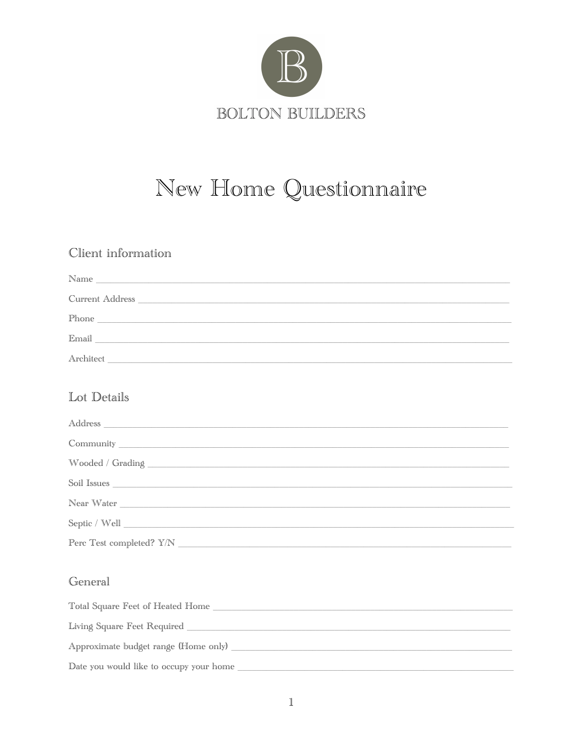

# New Home Questionnaire

## Client information

| Name                                                                         |  |
|------------------------------------------------------------------------------|--|
| Current Address                                                              |  |
| Phone<br><u> 1980 - Andrea Station Barbara, amerikan personal (h. 1980).</u> |  |
| Email                                                                        |  |
| Architect                                                                    |  |

### Lot Details

| Soil Issues <u>the community of the community of the community of the community of the community of the community of the community of the community of the community of the community of the community of the community of the c</u> |  |
|--------------------------------------------------------------------------------------------------------------------------------------------------------------------------------------------------------------------------------------|--|
| Near Water                                                                                                                                                                                                                           |  |
|                                                                                                                                                                                                                                      |  |
|                                                                                                                                                                                                                                      |  |

### General

| Total Square Feet of Heated Home        |
|-----------------------------------------|
| Living Square Feet Required             |
| Approximate budget range (Home only)    |
| Date you would like to occupy your home |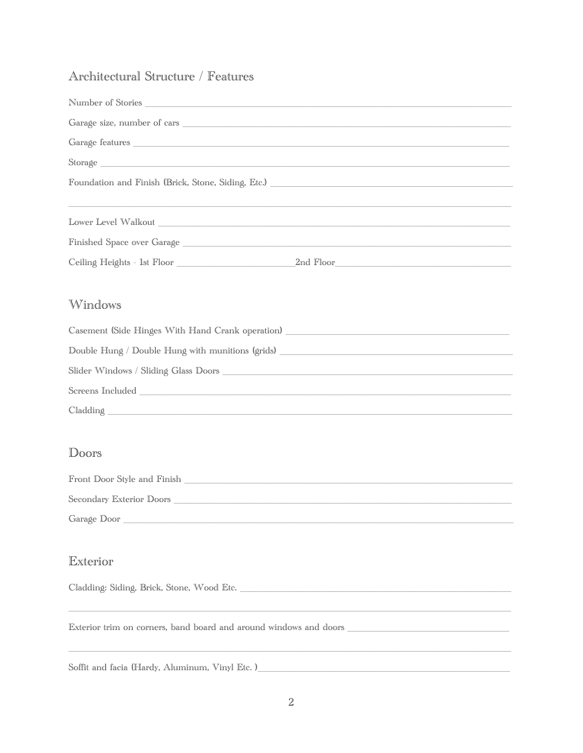### Architectural Structure / Features

| Garage size, number of cars                                                                                                                                                                                                   |  |
|-------------------------------------------------------------------------------------------------------------------------------------------------------------------------------------------------------------------------------|--|
|                                                                                                                                                                                                                               |  |
|                                                                                                                                                                                                                               |  |
|                                                                                                                                                                                                                               |  |
| ,我们也不能在这里的时候,我们也不能在这里的时候,我们也不能会在这里,我们也不能会在这里,我们也不能会在这里的时候,我们也不能会在这里的时候,我们也不能会在这里<br>第251章 我们的时候,我们的时候,我们的时候,我们的时候,我们的时候,我们的时候,我们的时候,我们的时候,我们的时候,我们的时候,我们的时候,我们的时候,我们                                                          |  |
|                                                                                                                                                                                                                               |  |
| Finished Space over Garage National Communication of the Case of the Communication of the Case of the Case of the Case of the Case of the Case of the Case of the Case of the Case of the Case of the Case of the Case of the |  |
|                                                                                                                                                                                                                               |  |
| Windows                                                                                                                                                                                                                       |  |
| Casement (Side Hinges With Hand Crank operation) ________________________________                                                                                                                                             |  |
| Double Hung / Double Hung with munitions (grids) ________________________________                                                                                                                                             |  |
|                                                                                                                                                                                                                               |  |
| Screens Included                                                                                                                                                                                                              |  |

Cladding

#### Doors

| Front Door Style and Finish |  |
|-----------------------------|--|
|                             |  |
| Secondary Exterior Doors    |  |
|                             |  |
| Garage Door                 |  |

#### Exterior

Cladding: Siding, Brick, Stone, Wood Etc.

Soffit and facia (Hardy, Aluminum, Vinyl Etc. )\_\_\_\_\_\_\_\_\_\_\_\_\_\_\_\_\_\_\_\_\_\_\_\_\_\_\_\_\_\_\_\_\_\_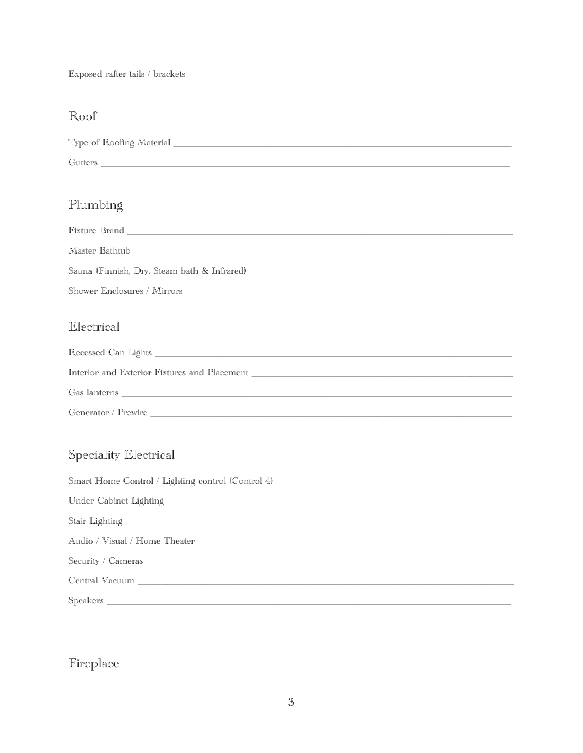## Roof

| Type of Roofing Material |  |  |
|--------------------------|--|--|
| Gutters                  |  |  |

# Plumbing

| Fixture Brand                               |
|---------------------------------------------|
| Master Bathtub                              |
| Sauna (Finnish, Dry, Steam bath & Infrared) |
| Shower Enclosures / Mirrors                 |

### Electrical

| Recessed Can Lights                          |
|----------------------------------------------|
| Interior and Exterior Fixtures and Placement |
| Gas lanterns                                 |
| Generator / Prewire                          |

# Speciality Electrical

| Smart Home Control / Lighting control (Control 4) ______________________________                                |
|-----------------------------------------------------------------------------------------------------------------|
|                                                                                                                 |
|                                                                                                                 |
|                                                                                                                 |
| Security / Cameras 2008 and 2008 and 2008 and 2008 and 2008 and 2008 and 2008 and 2008 and 2008 and 2008 and 20 |
|                                                                                                                 |
|                                                                                                                 |

# Fireplace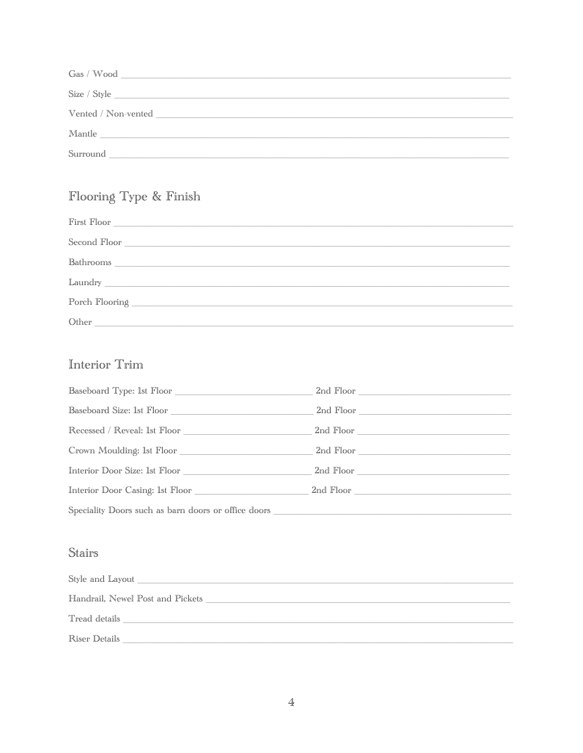| Gas / Wood          |
|---------------------|
| Size / Style        |
| Vented / Non-vented |
| Mantle              |
| Surround            |

# Flooring Type & Finish

# Interior Trim

| ${\small \textbf{Baseboard Type:} \textit{ 1st Floor} \_\textcolor{green}{\textbf{1}}\textit{ 2}}$ |  |
|----------------------------------------------------------------------------------------------------|--|
|                                                                                                    |  |
|                                                                                                    |  |
|                                                                                                    |  |
| Interior Door Size: 1st Floor 2nd Floor 2nd Floor                                                  |  |
|                                                                                                    |  |
| Speciality Doors such as barn doors or office doors ____________________________                   |  |

## Stairs

| Style and Layout _               |
|----------------------------------|
| Handrail, Newel Post and Pickets |
| Tread details                    |
| Riser Details                    |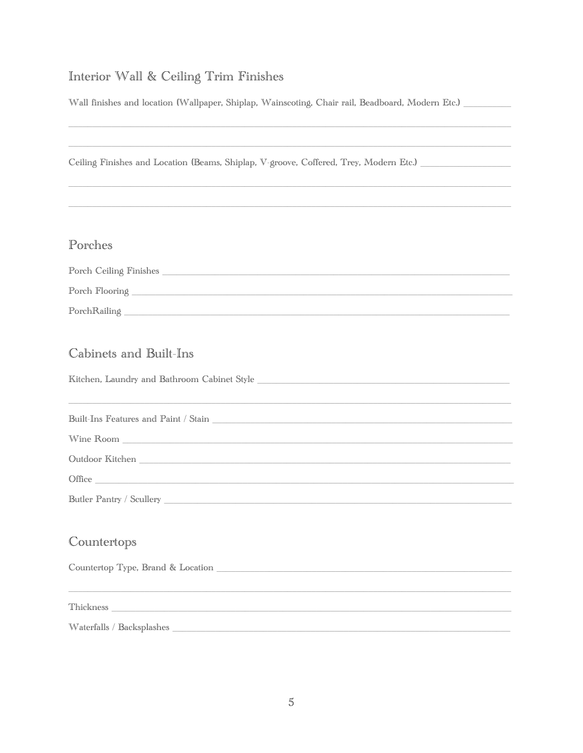# Interior Wall & Ceiling Trim Finishes

Wall finishes and location (Wallpaper, Shiplap, Wainscoting, Chair rail, Beadboard, Modern Etc.) \_\_\_\_\_\_\_\_

| Ceiling Finishes and Location (Beams, Shiplap, V-groove, Coffered, Trey, Modern Etc.)                                                                                                                                          |
|--------------------------------------------------------------------------------------------------------------------------------------------------------------------------------------------------------------------------------|
|                                                                                                                                                                                                                                |
|                                                                                                                                                                                                                                |
|                                                                                                                                                                                                                                |
| Porches                                                                                                                                                                                                                        |
|                                                                                                                                                                                                                                |
|                                                                                                                                                                                                                                |
|                                                                                                                                                                                                                                |
|                                                                                                                                                                                                                                |
| Cabinets and Built-Ins                                                                                                                                                                                                         |
|                                                                                                                                                                                                                                |
|                                                                                                                                                                                                                                |
|                                                                                                                                                                                                                                |
| $\label{thm:nonlin} \text{Wine Room} \underbrace{\hspace{2cm}}$                                                                                                                                                                |
|                                                                                                                                                                                                                                |
| Office experiences and the set of the set of the set of the set of the set of the set of the set of the set of the set of the set of the set of the set of the set of the set of the set of the set of the set of the set of t |
|                                                                                                                                                                                                                                |
|                                                                                                                                                                                                                                |
| Countertops                                                                                                                                                                                                                    |
|                                                                                                                                                                                                                                |
|                                                                                                                                                                                                                                |
|                                                                                                                                                                                                                                |
|                                                                                                                                                                                                                                |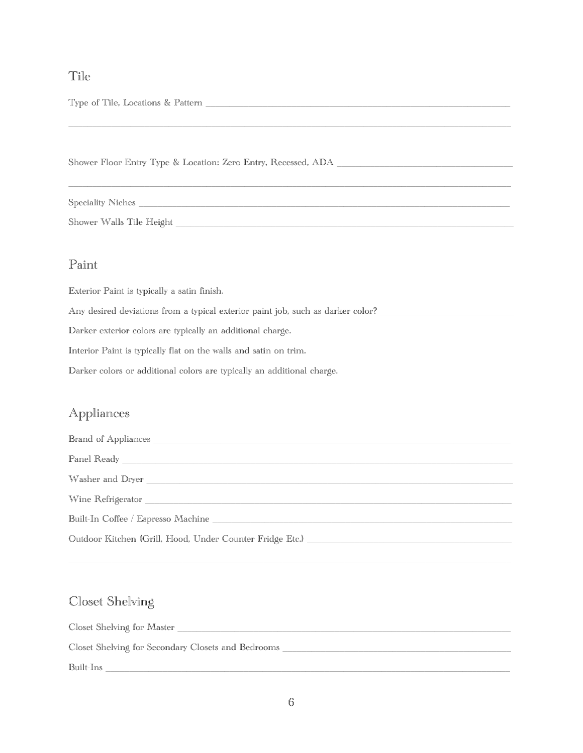#### Tile

Type of Tile, Locations & Pattern \_\_\_\_\_\_\_\_\_\_\_\_\_\_\_\_\_\_\_\_\_\_\_\_\_\_\_\_\_\_\_\_\_\_\_\_\_\_\_\_\_\_\_\_\_\_\_\_\_\_\_\_\_\_\_\_\_\_\_\_\_\_\_\_

Shower Floor Entry Type & Location: Zero Entry, Recessed, ADA

\_\_\_\_\_\_\_\_\_\_\_\_\_\_\_\_\_\_\_\_\_\_\_\_\_\_\_\_\_\_\_\_\_\_\_\_\_\_\_\_\_\_\_\_\_\_\_\_\_\_\_\_\_\_\_\_\_\_\_\_\_\_\_\_\_\_\_\_\_\_\_\_\_\_\_\_\_\_\_\_\_\_\_\_\_\_\_\_\_\_\_\_\_ Speciality Niches \_\_\_\_\_\_\_\_\_\_\_\_\_\_\_\_\_\_\_\_\_\_\_\_\_\_\_\_\_\_\_\_\_\_\_\_\_\_\_\_\_\_\_\_\_\_\_\_\_\_\_\_\_\_\_\_\_\_\_\_\_\_\_\_\_\_\_\_\_\_\_\_\_\_\_\_\_\_

\_\_\_\_\_\_\_\_\_\_\_\_\_\_\_\_\_\_\_\_\_\_\_\_\_\_\_\_\_\_\_\_\_\_\_\_\_\_\_\_\_\_\_\_\_\_\_\_\_\_\_\_\_\_\_\_\_\_\_\_\_\_\_\_\_\_\_\_\_\_\_\_\_\_\_\_\_\_\_\_\_\_\_\_\_\_\_\_\_\_\_\_\_

Shower Walls Tile Height \_\_\_\_\_\_\_\_\_\_\_\_\_\_\_\_\_\_\_\_\_\_\_\_\_\_\_\_\_\_\_\_\_\_\_\_\_\_\_\_\_\_\_\_\_\_\_\_\_\_\_\_\_\_\_\_\_\_\_\_\_\_\_\_\_\_\_\_\_\_\_

#### Paint

Exterior Paint is typically a satin finish.

Any desired deviations from a typical exterior paint job, such as darker color?

Darker exterior colors are typically an additional charge.

Interior Paint is typically flat on the walls and satin on trim.

Darker colors or additional colors are typically an additional charge.

### Appliances

| Built-In Coffee / Espresso Machine Law and the control of the control of the control of the control of the control of the control of the control of the control of the control of the control of the control of the control of |
|--------------------------------------------------------------------------------------------------------------------------------------------------------------------------------------------------------------------------------|
| Outdoor Kitchen (Grill, Hood, Under Counter Fridge Etc.) ________________________                                                                                                                                              |

\_\_\_\_\_\_\_\_\_\_\_\_\_\_\_\_\_\_\_\_\_\_\_\_\_\_\_\_\_\_\_\_\_\_\_\_\_\_\_\_\_\_\_\_\_\_\_\_\_\_\_\_\_\_\_\_\_\_\_\_\_\_\_\_\_\_\_\_\_\_\_\_\_\_\_\_\_\_\_\_\_\_\_\_\_\_\_\_\_\_\_\_\_

### Closet Shelving

Closet Shelving for Master \_\_\_\_\_\_\_\_\_\_\_\_\_\_\_\_\_\_\_\_\_\_\_\_\_\_\_\_\_\_\_\_\_\_\_\_\_\_\_\_\_\_\_\_\_\_\_\_\_\_\_\_\_\_\_\_\_\_\_\_\_\_\_\_\_\_\_\_\_\_ Closet Shelving for Secondary Closets and Bedrooms \_\_\_\_\_\_\_\_\_\_\_\_\_\_\_\_\_\_\_\_\_\_\_\_\_\_\_\_\_\_\_\_\_\_\_\_\_\_\_\_\_\_\_\_\_\_\_\_ Built-Ins \_\_\_\_\_\_\_\_\_\_\_\_\_\_\_\_\_\_\_\_\_\_\_\_\_\_\_\_\_\_\_\_\_\_\_\_\_\_\_\_\_\_\_\_\_\_\_\_\_\_\_\_\_\_\_\_\_\_\_\_\_\_\_\_\_\_\_\_\_\_\_\_\_\_\_\_\_\_\_\_\_\_\_\_\_